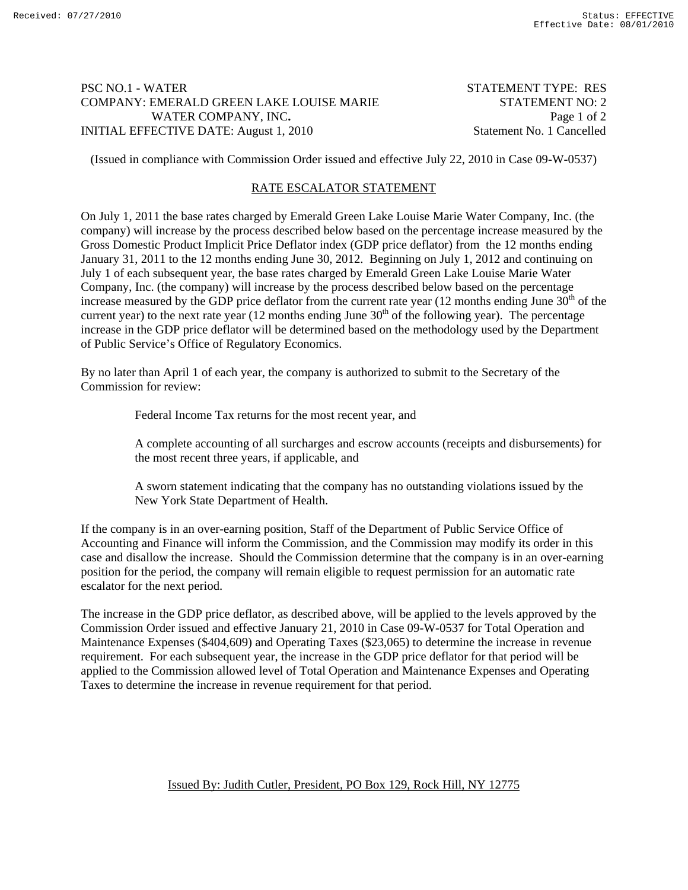## PSC NO.1 - WATER STATEMENT TYPE: RES COMPANY: EMERALD GREEN LAKE LOUISE MARIE STATEMENT NO: 2 WATER COMPANY, INC. **Page 1** of 2 INITIAL EFFECTIVE DATE: August 1, 2010 Statement No. 1 Cancelled

(Issued in compliance with Commission Order issued and effective July 22, 2010 in Case 09-W-0537)

# RATE ESCALATOR STATEMENT

On July 1, 2011 the base rates charged by Emerald Green Lake Louise Marie Water Company, Inc. (the company) will increase by the process described below based on the percentage increase measured by the Gross Domestic Product Implicit Price Deflator index (GDP price deflator) from the 12 months ending January 31, 2011 to the 12 months ending June 30, 2012. Beginning on July 1, 2012 and continuing on July 1 of each subsequent year, the base rates charged by Emerald Green Lake Louise Marie Water Company, Inc. (the company) will increase by the process described below based on the percentage increase measured by the GDP price deflator from the current rate year  $(12 \text{ months ending June } 30^{\text{th}})$  of the current year) to the next rate year (12 months ending June  $30<sup>th</sup>$  of the following year). The percentage increase in the GDP price deflator will be determined based on the methodology used by the Department of Public Service's Office of Regulatory Economics.

By no later than April 1 of each year, the company is authorized to submit to the Secretary of the Commission for review:

Federal Income Tax returns for the most recent year, and

 A complete accounting of all surcharges and escrow accounts (receipts and disbursements) for the most recent three years, if applicable, and

 A sworn statement indicating that the company has no outstanding violations issued by the New York State Department of Health.

If the company is in an over-earning position, Staff of the Department of Public Service Office of Accounting and Finance will inform the Commission, and the Commission may modify its order in this case and disallow the increase. Should the Commission determine that the company is in an over-earning position for the period, the company will remain eligible to request permission for an automatic rate escalator for the next period.

The increase in the GDP price deflator, as described above, will be applied to the levels approved by the Commission Order issued and effective January 21, 2010 in Case 09-W-0537 for Total Operation and Maintenance Expenses (\$404,609) and Operating Taxes (\$23,065) to determine the increase in revenue requirement. For each subsequent year, the increase in the GDP price deflator for that period will be applied to the Commission allowed level of Total Operation and Maintenance Expenses and Operating Taxes to determine the increase in revenue requirement for that period.

## Issued By: Judith Cutler, President, PO Box 129, Rock Hill, NY 12775